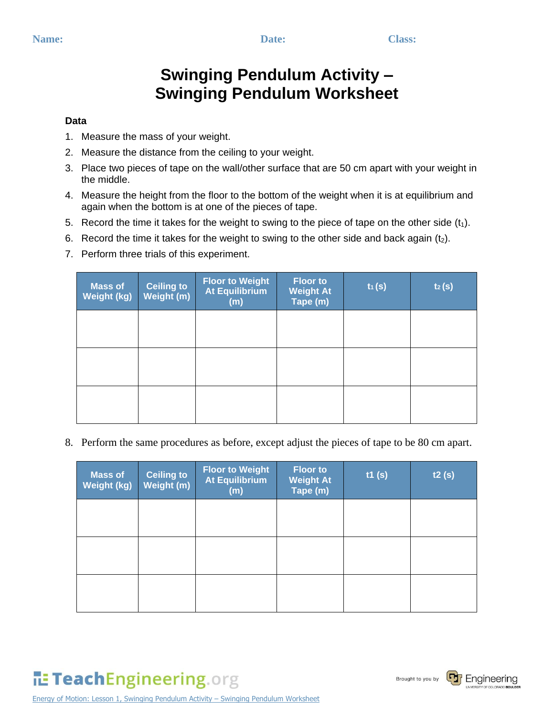# **Swinging Pendulum Activity – Swinging Pendulum Worksheet**

#### **Data**

- 1. Measure the mass of your weight.
- 2. Measure the distance from the ceiling to your weight.
- 3. Place two pieces of tape on the wall/other surface that are 50 cm apart with your weight in the middle.
- 4. Measure the height from the floor to the bottom of the weight when it is at equilibrium and again when the bottom is at one of the pieces of tape.
- 5. Record the time it takes for the weight to swing to the piece of tape on the other side  $(t_1)$ .
- 6. Record the time it takes for the weight to swing to the other side and back again  $(t_2)$ .
- 7. Perform three trials of this experiment.

| <b>Mass of</b><br>Weight (kg) | <b>Ceiling to</b><br>Weight (m) | <b>Floor to Weight</b><br><b>At Equilibrium</b><br>(m) | <b>Floor to</b><br><b>Weight At</b><br>Tape (m) | $t_1(s)$ | $t_2(s)$ |
|-------------------------------|---------------------------------|--------------------------------------------------------|-------------------------------------------------|----------|----------|
|                               |                                 |                                                        |                                                 |          |          |
|                               |                                 |                                                        |                                                 |          |          |
|                               |                                 |                                                        |                                                 |          |          |

8. Perform the same procedures as before, except adjust the pieces of tape to be 80 cm apart.

| <b>Mass of</b><br>Weight (kg) | <b>Ceiling to</b><br>Weight (m) | <b>Floor to Weight</b><br>At Equilibrium<br>(m) | <b>Floor to</b><br><b>Weight At</b><br>Tape (m) | t1(s) | t2(s) |
|-------------------------------|---------------------------------|-------------------------------------------------|-------------------------------------------------|-------|-------|
|                               |                                 |                                                 |                                                 |       |       |
|                               |                                 |                                                 |                                                 |       |       |
|                               |                                 |                                                 |                                                 |       |       |

TeachEngineering.org

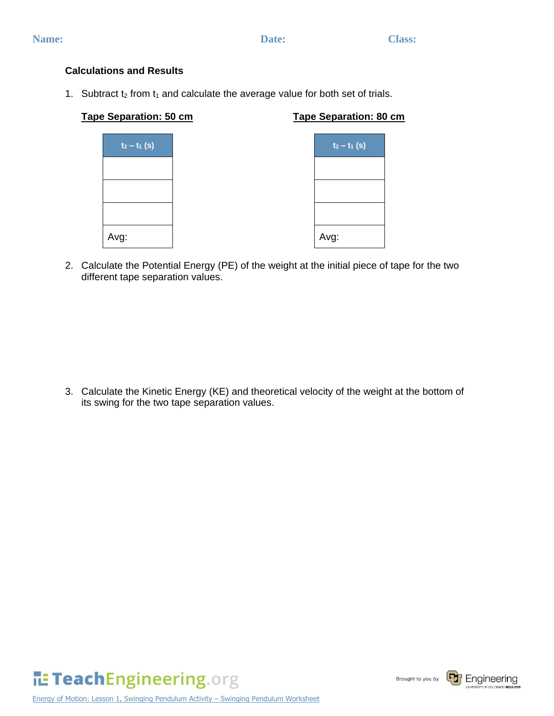#### **Calculations and Results**

1. Subtract  $t_2$  from  $t_1$  and calculate the average value for both set of trials.

# **Tape Separation: 50 cm**

# **Tape Separation: 80 cm**

| $t_2 - t_1$ (s) | $t_2 - t_1$ (s) |
|-----------------|-----------------|
|                 |                 |
|                 |                 |
|                 |                 |
| Avg:            | Avg:            |

2. Calculate the Potential Energy (PE) of the weight at the initial piece of tape for the two different tape separation values.

3. Calculate the Kinetic Energy (KE) and theoretical velocity of the weight at the bottom of its swing for the two tape separation values.



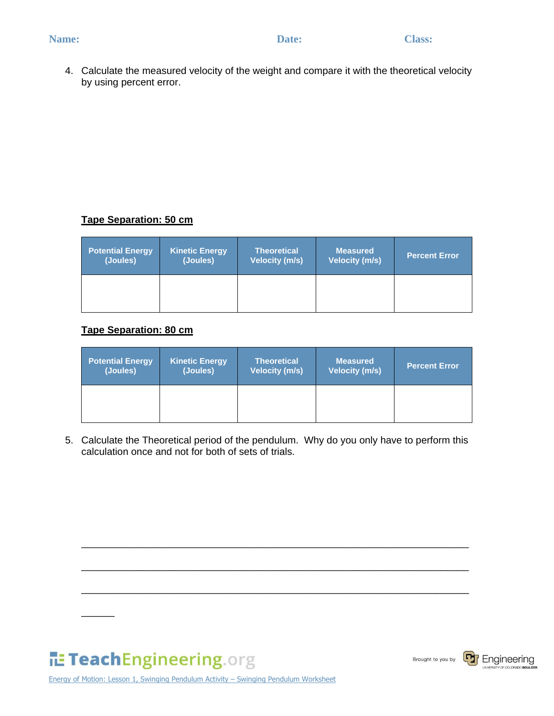- **Name:** Class: Class: Class: Class: Class: Class: Class: Class: Class: Class: Class: Class: Class: Class: Class: Class: Class: Class: Class: Class: Class: Class: Class: Class: Class: Class: Class: Class: Class: Class: Clas
	- 4. Calculate the measured velocity of the weight and compare it with the theoretical velocity by using percent error.

# **Tape Separation: 50 cm**

| <b>Potential Energy</b> | <b>Kinetic Energy</b> | <b>Theoretical</b>    | <b>Measured</b>       | <b>Percent Error</b> |
|-------------------------|-----------------------|-----------------------|-----------------------|----------------------|
| (Joules)                | (Joules)              | <b>Velocity (m/s)</b> | <b>Velocity (m/s)</b> |                      |
|                         |                       |                       |                       |                      |

### **Tape Separation: 80 cm**

| <b>Potential Energy</b> | <b>Kinetic Energy</b> | <b>Theoretical</b>    | <b>Measured</b>       | <b>Percent Error</b> |
|-------------------------|-----------------------|-----------------------|-----------------------|----------------------|
| (Joules)                | (Joules)              | <b>Velocity (m/s)</b> | <b>Velocity (m/s)</b> |                      |
|                         |                       |                       |                       |                      |

5. Calculate the Theoretical period of the pendulum. Why do you only have to perform this calculation once and not for both of sets of trials.

\_\_\_\_\_\_\_\_\_\_\_\_\_\_\_\_\_\_\_\_\_\_\_\_\_\_\_\_\_\_\_\_\_\_\_\_\_\_\_\_\_\_\_\_\_\_\_\_\_\_\_\_\_\_\_\_\_\_\_\_\_\_\_\_\_\_\_\_\_\_

\_\_\_\_\_\_\_\_\_\_\_\_\_\_\_\_\_\_\_\_\_\_\_\_\_\_\_\_\_\_\_\_\_\_\_\_\_\_\_\_\_\_\_\_\_\_\_\_\_\_\_\_\_\_\_\_\_\_\_\_\_\_\_\_\_\_\_\_\_\_

\_\_\_\_\_\_\_\_\_\_\_\_\_\_\_\_\_\_\_\_\_\_\_\_\_\_\_\_\_\_\_\_\_\_\_\_\_\_\_\_\_\_\_\_\_\_\_\_\_\_\_\_\_\_\_\_\_\_\_\_\_\_\_\_\_\_\_\_\_\_

TeachEngineering.org

 $\overline{\phantom{a}}$ 

Brought to you by



Energy of Motion: Lesson 1, Swinging Pendulum Activity – Swinging Pendulum Worksheet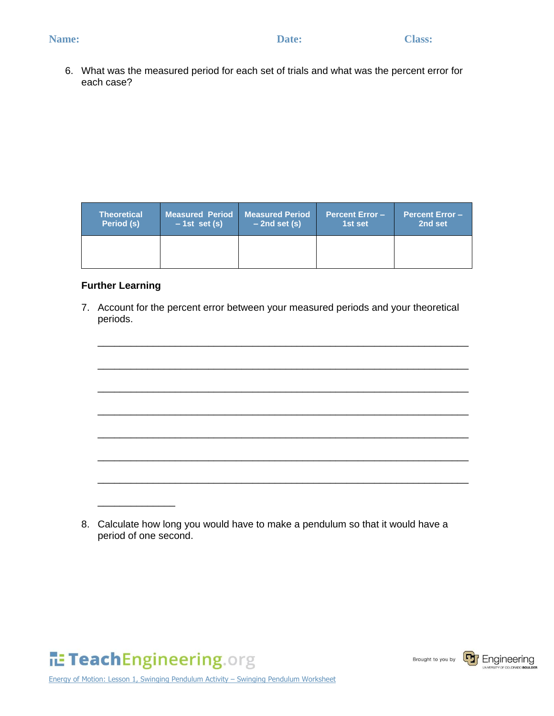6. What was the measured period for each set of trials and what was the percent error for each case?

| <b>Theoretical</b> | <b>Measured Period Measured Period</b> | $-2nd$ set (s) | <b>Percent Error-</b> | <b>Percent Error-</b> |
|--------------------|----------------------------------------|----------------|-----------------------|-----------------------|
| Period (s)         | $-1st$ set (s)                         |                | 1st set               | 2nd set               |
|                    |                                        |                |                       |                       |

## **Further Learning**

7. Account for the percent error between your measured periods and your theoretical periods.

\_\_\_\_\_\_\_\_\_\_\_\_\_\_\_\_\_\_\_\_\_\_\_\_\_\_\_\_\_\_\_\_\_\_\_\_\_\_\_\_\_\_\_\_\_\_\_\_\_\_\_\_\_\_\_\_\_\_\_\_\_\_\_\_\_\_\_



8. Calculate how long you would have to make a pendulum so that it would have a period of one second.

TeachEngineering.org Energy of Motion: Lesson 1, Swinging Pendulum Activity – Swinging Pendulum Worksheet